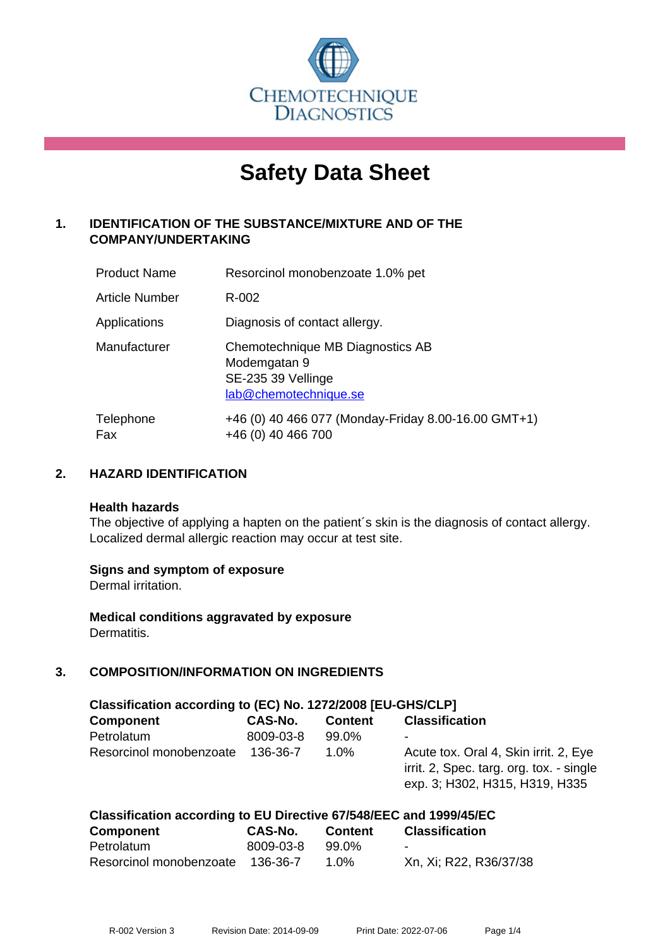

# **Safety Data Sheet**

# **1. IDENTIFICATION OF THE SUBSTANCE/MIXTURE AND OF THE COMPANY/UNDERTAKING**

| <b>Product Name</b>   | Resorcinol monobenzoate 1.0% pet                                                                |
|-----------------------|-------------------------------------------------------------------------------------------------|
| <b>Article Number</b> | R-002                                                                                           |
| Applications          | Diagnosis of contact allergy.                                                                   |
| Manufacturer          | Chemotechnique MB Diagnostics AB<br>Modemgatan 9<br>SE-235 39 Vellinge<br>lab@chemotechnique.se |
| Telephone<br>Fax      | +46 (0) 40 466 077 (Monday-Friday 8.00-16.00 GMT+1)<br>+46 (0) 40 466 700                       |

## **2. HAZARD IDENTIFICATION**

#### **Health hazards**

The objective of applying a hapten on the patient's skin is the diagnosis of contact allergy. Localized dermal allergic reaction may occur at test site.

## **Signs and symptom of exposure**

Dermal irritation.

**Medical conditions aggravated by exposure** Dermatitis.

# **3. COMPOSITION/INFORMATION ON INGREDIENTS**

| Classification according to (EC) No. 1272/2008 [EU-GHS/CLP] |                |                |                                                                                                                     |  |  |
|-------------------------------------------------------------|----------------|----------------|---------------------------------------------------------------------------------------------------------------------|--|--|
| <b>Component</b>                                            | <b>CAS-No.</b> | <b>Content</b> | <b>Classification</b>                                                                                               |  |  |
| Petrolatum                                                  | 8009-03-8      | 99.0%          | ٠                                                                                                                   |  |  |
| Resorcinol monobenzoate                                     | 136-36-7       | 1.0%           | Acute tox. Oral 4, Skin irrit. 2, Eye<br>irrit. 2, Spec. targ. org. tox. - single<br>exp. 3; H302, H315, H319, H335 |  |  |

| Classification according to EU Directive 67/548/EEC and 1999/45/EC |           |                |                        |  |  |
|--------------------------------------------------------------------|-----------|----------------|------------------------|--|--|
| <b>Component</b>                                                   | CAS-No.   | <b>Content</b> | <b>Classification</b>  |  |  |
| Petrolatum                                                         | 8009-03-8 | 99.0%          | $\blacksquare$         |  |  |
| Resorcinol monobenzoate 136-36-7                                   |           | 1.0%           | Xn, Xi; R22, R36/37/38 |  |  |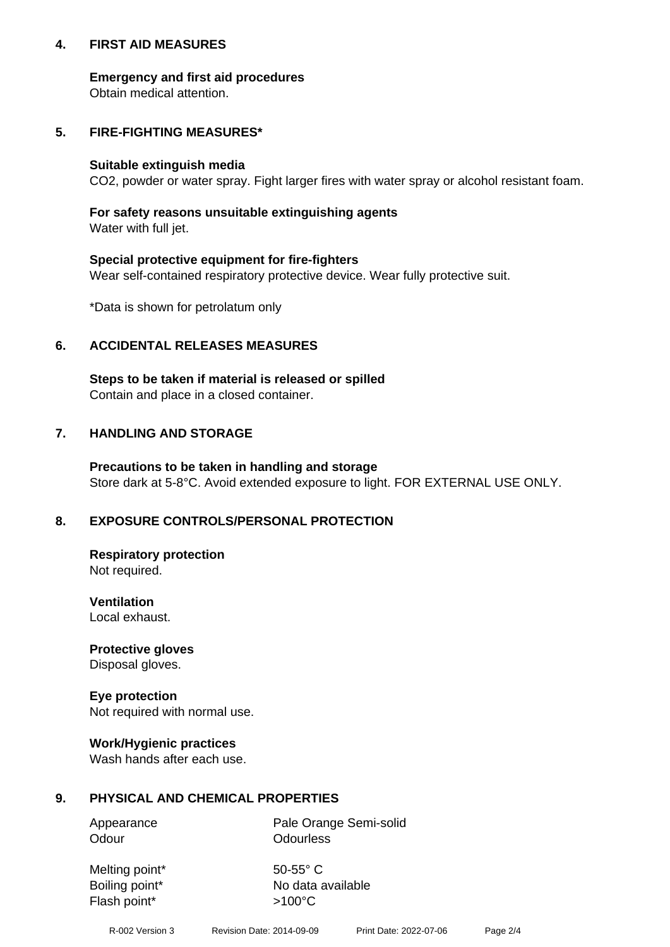## **4. FIRST AID MEASURES**

## **Emergency and first aid procedures**

Obtain medical attention.

# **5. FIRE-FIGHTING MEASURES\***

#### **Suitable extinguish media**

CO2, powder or water spray. Fight larger fires with water spray or alcohol resistant foam.

# **For safety reasons unsuitable extinguishing agents**

Water with full jet.

## **Special protective equipment for fire-fighters**

Wear self-contained respiratory protective device. Wear fully protective suit.

\*Data is shown for petrolatum only

## **6. ACCIDENTAL RELEASES MEASURES**

**Steps to be taken if material is released or spilled** Contain and place in a closed container.

# **7. HANDLING AND STORAGE**

**Precautions to be taken in handling and storage** Store dark at 5-8°C. Avoid extended exposure to light. FOR EXTERNAL USE ONLY.

# **8. EXPOSURE CONTROLS/PERSONAL PROTECTION**

**Respiratory protection** Not required.

**Ventilation** Local exhaust.

**Protective gloves** Disposal gloves.

#### **Eye protection** Not required with normal use.

## **Work/Hygienic practices**

Wash hands after each use.

## **9. PHYSICAL AND CHEMICAL PROPERTIES**

Odour **Odourless** 

Appearance Pale Orange Semi-solid

Melting point\* 50-55° C Flash point\*  $>100^{\circ}$ C

Boiling point\* No data available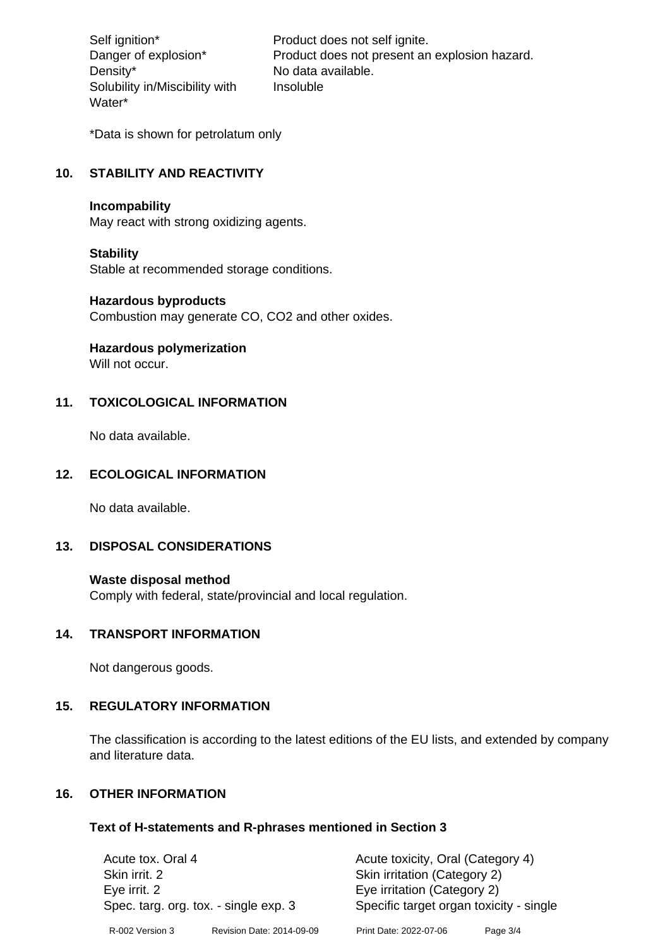Density\* No data available. Solubility in/Miscibility with Water\*

Self ignition\* Product does not self ignite. Danger of explosion\* Product does not present an explosion hazard. Insoluble

\*Data is shown for petrolatum only

# **10. STABILITY AND REACTIVITY**

#### **Incompability**

May react with strong oxidizing agents.

#### **Stability**

Stable at recommended storage conditions.

#### **Hazardous byproducts**

Combustion may generate CO, CO2 and other oxides.

**Hazardous polymerization**

Will not occur.

## **11. TOXICOLOGICAL INFORMATION**

No data available.

#### **12. ECOLOGICAL INFORMATION**

No data available.

## **13. DISPOSAL CONSIDERATIONS**

#### **Waste disposal method**

Comply with federal, state/provincial and local regulation.

#### **14. TRANSPORT INFORMATION**

Not dangerous goods.

## **15. REGULATORY INFORMATION**

The classification is according to the latest editions of the EU lists, and extended by company and literature data.

#### **16. OTHER INFORMATION**

#### **Text of H-statements and R-phrases mentioned in Section 3**

| Acute tox. Oral 4                     |                           | Acute toxicity, Oral (Category 4)       |          |  |
|---------------------------------------|---------------------------|-----------------------------------------|----------|--|
| Skin irrit. 2                         |                           | Skin irritation (Category 2)            |          |  |
| Eye irrit. 2                          |                           | Eye irritation (Category 2)             |          |  |
| Spec. targ. org. tox. - single exp. 3 |                           | Specific target organ toxicity - single |          |  |
| R-002 Version 3                       | Revision Date: 2014-09-09 | Print Date: 2022-07-06                  | Page 3/4 |  |